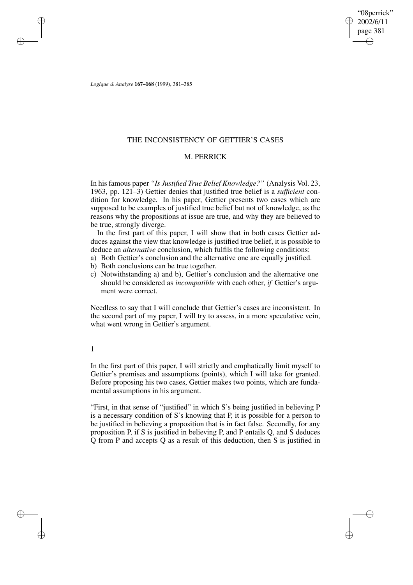"08perrick" 2002/6/11 page 381 ✐ ✐

✐

✐

*Logique & Analyse* **167–168** (1999), 381–385

✐

✐

✐

✐

# THE INCONSISTENCY OF GETTIER'S CASES

## M. PERRICK

In hisfamous paper *"Is Justified True Belief Knowledge?"* (Analysis Vol. 23, 1963, pp. 121–3) Gettier denies that justified true belief is a *sufficient* condition for knowledge. In his paper, Gettier presents two cases which are supposed to be examples of justified true belief but not of knowledge, as the reasons why the propositions at issue are true, and why they are believed to be true, strongly diverge.

In the first part of this paper, I will show that in both cases Gettier adduces against the view that knowledge is justified true belief, it is possible to deduce an *alternative* conclusion, which fulfils the following conditions:

- a) Both Gettier's conclusion and the alternative one are equally justified.
- b) Both conclusions can be true together.
- c) Notwithstanding a) and b), Gettier's conclusion and the alternative one should be considered as *incompatible* with each other, *if* Gettier's argument were correct.

Needless to say that I will conclude that Gettier's cases are inconsistent. In the second part of my paper, I will try to assess, in a more speculative vein, what went wrong in Gettier's argument.

### 1

In the first part of this paper, I will strictly and emphatically limit myself to Gettier's premises and assumptions (points), which I will take for granted. Before proposing his two cases, Gettier makes two points, which are fundamental assumptions in his argument.

"First, in that sense of "justified" in which S's being justified in believing P is a necessary condition of S's knowing that P, it is possible for a person to be justified in believing a proposition that is in fact false. Secondly, for any proposition P, if S is justified in believing P, and P entails Q, and S deduces Q from P and accepts Q as a result of this deduction, then S is justified in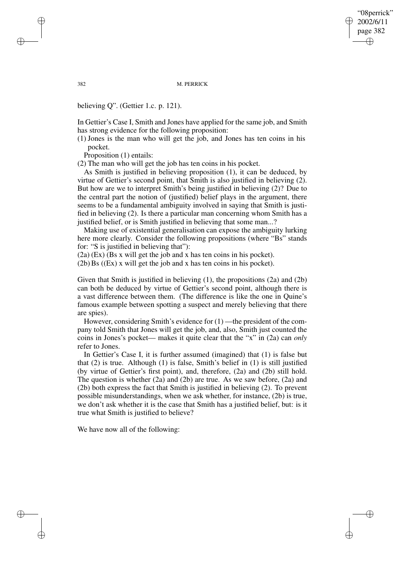"08perrick" 2002/6/11 page 382 ✐ ✐

✐

✐

382 M. PERRICK

believing Q". (Gettier 1.c. p. 121).

In Gettier's Case I, Smith and Jones have applied for the same job, and Smith has strong evidence for the following proposition:

(1) Jones is the man who will get the job, and Jones has ten coins in his pocket.

Proposition (1) entails:

(2) The man who will get the job has ten coins in his pocket.

As Smith is justified in believing proposition (1), it can be deduced, by virtue of Gettier's second point, that Smith is also justified in believing (2). But how are we to interpret Smith's being justified in believing (2)? Due to the central part the notion of (justified) belief plays in the argument, there seems to be a fundamental ambiguity involved in saying that Smith is justified in believing (2). Is there a particular man concerning whom Smith has a justified belief, or is Smith justified in believing that some man...?

Making use of existential generalisation can expose the ambiguity lurking here more clearly. Consider the following propositions (where "Bs" stands for: "S is justified in believing that"):

(2a) (Ex) (Bs x will get the job and x has ten coins in his pocket).

 $(2b)$  Bs  $((Ex)$  x will get the job and x has ten coins in his pocket).

Given that Smith is justified in believing (1), the propositions (2a) and (2b) can both be deduced by virtue of Gettier's second point, although there is a vast difference between them. (The difference is like the one in Quine's famous example between spotting a suspect and merely believing that there are spies).

However, considering Smith's evidence for (1) —the president of the company told Smith that Jones will get the job, and, also, Smith just counted the coins in Jones's pocket— makes it quite clear that the "x" in (2a) can *only* refer to Jones.

In Gettier's Case I, it is further assumed (imagined) that (1) is false but that (2) is true. Although (1) is false, Smith's belief in (1) is still justified (by virtue of Gettier's first point), and, therefore, (2a) and (2b) still hold. The question is whether (2a) and (2b) are true. As we saw before, (2a) and (2b) both express the fact that Smith is justified in believing (2). To prevent possible misunderstandings, when we ask whether, for instance, (2b) is true, we don't ask whether it is the case that Smith has a justified belief, but: is it true what Smith is justified to believe?

We have now all of the following:

✐

✐

✐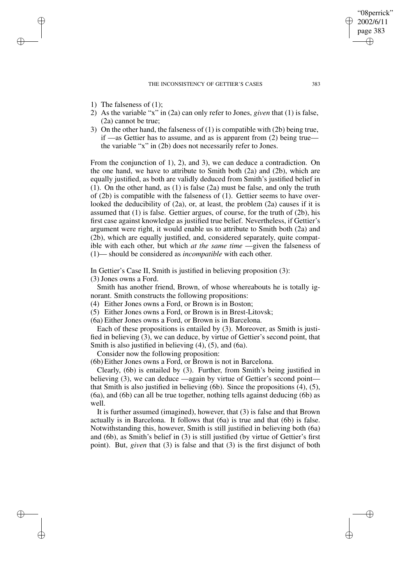#### THE INCONSISTENCY OF GETTIER'S CASES 383

1) The falseness of (1);

✐

✐

✐

✐

- 2) As the variable "x" in (2a) can only refer to Jones, *given* that (1) is false, (2a) cannot be true;
- 3) On the other hand, the falseness of (1) is compatible with (2b) being true, if —as Gettier has to assume, and as is apparent from (2) being true the variable "x" in (2b) does not necessarily refer to Jones.

From the conjunction of 1), 2), and 3), we can deduce a contradiction. On the one hand, we have to attribute to Smith both (2a) and (2b), which are equally justified, as both are validly deduced from Smith's justified belief in (1). On the other hand, as (1) is false (2a) must be false, and only the truth of (2b) is compatible with the falseness of (1). Gettier seems to have overlooked the deducibility of (2a), or, at least, the problem (2a) causes if it is assumed that (1) is false. Gettier argues, of course, for the truth of (2b), his first case against knowledge as justified true belief. Nevertheless, if Gettier's argument were right, it would enable us to attribute to Smith both (2a) and (2b), which are equally justified, and, considered separately, quite compatible with each other, but which *at the same time* —given the falseness of (1)— should be considered as *incompatible* with each other.

In Gettier's Case II, Smith is justified in believing proposition (3): (3) Jones owns a Ford.

Smith has another friend, Brown, of whose whereabouts he is totally ignorant. Smith constructs the following propositions:

(4) Either Jones owns a Ford, or Brown is in Boston;

(5) Either Jones owns a Ford, or Brown is in Brest-Litovsk;

(6a) Either Jones owns a Ford, or Brown is in Barcelona.

Each of these propositions is entailed by (3). Moreover, as Smith is justified in believing (3), we can deduce, by virtue of Gettier's second point, that Smith is also justified in believing (4), (5), and (6a).

Consider now the following proposition:

(6b) Either Jones owns a Ford, or Brown is not in Barcelona.

Clearly, (6b) is entailed by (3). Further, from Smith's being justified in believing (3), we can deduce —again by virtue of Gettier's second point that Smith is also justified in believing (6b). Since the propositions (4), (5), (6a), and (6b) can all be true together, nothing tells against deducing (6b) as well.

It is further assumed (imagined), however, that (3) is false and that Brown actually is in Barcelona. It follows that (6a) is true and that (6b) is false. Notwithstanding this, however, Smith is still justified in believing both (6a) and (6b), as Smith's belief in (3) is still justified (by virtue of Gettier's first point). But, *given* that (3) is false and that (3) is the first disjunct of both

"08perrick" 2002/6/11 page 383

✐

✐

✐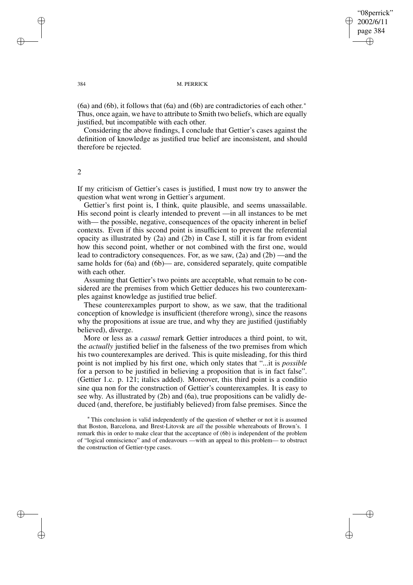✐

✐

#### 384 M. PERRICK

(6a) and (6b), it follows that (6a) and (6b) are contradictories of each other. ∗ Thus, once again, we have to attribute to Smith two beliefs, which are equally justified, but incompatible with each other.

Considering the above findings, I conclude that Gettier's cases against the definition of knowledge as justified true belief are inconsistent, and should therefore be rejected.

2

If my criticism of Gettier's cases is justified, I must now try to answer the question what went wrong in Gettier's argument.

Gettier's first point is, I think, quite plausible, and seems unassailable. His second point is clearly intended to prevent —in all instances to be met with— the possible, negative, consequences of the opacity inherent in belief contexts. Even if this second point is insufficient to prevent the referential opacity as illustrated by (2a) and (2b) in Case I, still it is far from evident how this second point, whether or not combined with the first one, would lead to contradictory consequences. For, as we saw, (2a) and (2b) —and the same holds for  $(6a)$  and  $(6b)$ — are, considered separately, quite compatible with each other.

Assuming that Gettier's two points are acceptable, what remain to be considered are the premises from which Gettier deduces his two counterexamples against knowledge as justified true belief.

These counterexamples purport to show, as we saw, that the traditional conception of knowledge is insufficient (therefore wrong), since the reasons why the propositions at issue are true, and why they are justified (justifiably believed), diverge.

More or less as a *casual* remark Gettier introduces a third point, to wit, the *actually* justified belief in the falseness of the two premises from which his two counterexamples are derived. This is quite misleading, for this third point is not implied by his first one, which only states that "...it is *possible* for a person to be justified in believing a proposition that is in fact false". (Gettier 1.c. p. 121; italics added). Moreover, this third point is a conditio sine qua non for the construction of Gettier's counterexamples. It is easy to see why. As illustrated by (2b) and (6a), true propositions can be validly deduced (and, therefore, be justifiably believed) from false premises. Since the

<sup>∗</sup> This conclusion is valid independently of the question of whether or not it is assumed that Boston, Barcelona, and Brest-Litovsk are *all* the possible whereabouts of Brown's. I remark this in order to make clear that the acceptance of (6b) is independent of the problem of "logical omniscience" and of endeavours —with an appeal to this problem— to obstruct the construction of Gettier-type cases.

✐

✐

✐